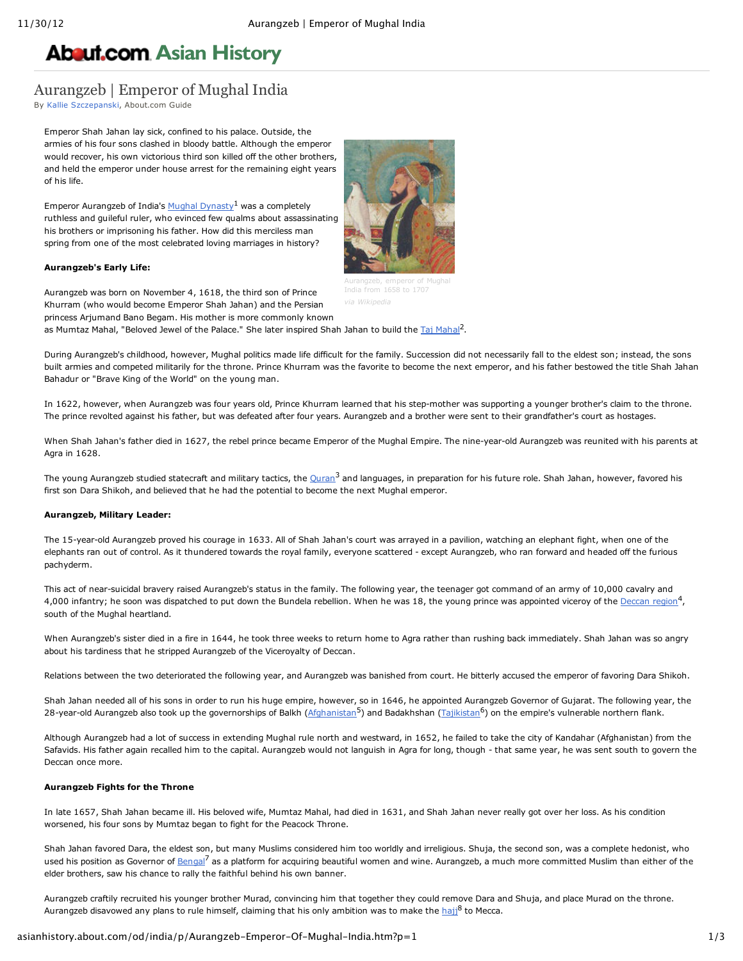# **About.com Asian [History](http://asianhistory.about.com/)**

## Aurangzeb | Emperor of Mughal India

By Kallie [Szczepanski](http://asianhistory.about.com/bio/Kallie-Szczepanski-40912.htm), About.com Guide

Emperor Shah Jahan lay sick, confined to his palace. Outside, the armies of his four sons clashed in bloody battle. Although the emperor would recover, his own victorious third son killed off the other brothers, and held the emperor under house arrest for the remaining eight years of his life.

Emperor Aurangzeb of India's Mughal [Dynasty](http://asianhistory.about.com/od/india/p/mughalempireprof.htm)<sup>1</sup> was a completely ruthless and guileful ruler, who evinced few qualms about assassinating his brothers or imprisoning his father. How did this merciless man spring from one of the most celebrated loving marriages in history?

#### **Aurangzeb's Early Life:**



Aurangzeb, emperor of Mughal

Aurangzeb was born on November 4, 1618, the third son of Prince Khurram (who would become Emperor Shah Jahan) and the Persian princess Arjumand Bano Begam. His mother is more commonly known as Mumtaz [Mahal](http://asianhistory.about.com/od/glossarytz/g/GlosTajMahal.htm), "Beloved Jewel of the Palace." She later inspired Shah Jahan to build the Taj Mahal<sup>2</sup>. *via Wikipedia*

During Aurangzeb's childhood, however, Mughal politics made life difficult for the family. Succession did not necessarily fall to the eldest son; instead, the sons built armies and competed militarily for the throne. Prince Khurram was the favorite to become the next emperor, and his father bestowed the title Shah Jahan Bahadur or "Brave King of the World" on the young man.

In 1622, however, when Aurangzeb was four years old, Prince Khurram learned that his step-mother was supporting a younger brother's claim to the throne. The prince revolted against his father, but was defeated after four years. Aurangzeb and a brother were sent to their grandfather's court as hostages.

When Shah Jahan's father died in 1627, the rebel prince became Emperor of the Mughal Empire. The nine-year-old Aurangzeb was reunited with his parents at Agra in 1628.

The young Aurangzeb studied statecraft and military tactics, the <u>[Quran](http://islam.about.com/library/glossary/bldef-quran.htm)</u><sup>3</sup> and languages, in preparation for his future role. Shah Jahan, however, favored his first son Dara Shikoh, and believed that he had the potential to become the next Mughal emperor.

#### **Aurangzeb, Military Leader:**

The 15-year-old Aurangzeb proved his courage in 1633. All of Shah Jahan's court was arrayed in a pavilion, watching an elephant fight, when one of the elephants ran out of control. As it thundered towards the royal family, everyone scattered - except Aurangzeb, who ran forward and headed off the furious pachyderm.

This act of near-suicidal bravery raised Aurangzeb's status in the family. The following year, the teenager got command of an army of 10,000 cavalry and 4,000 infantry; he soon was dispatched to put down the Bundela rebellion. When he was 18, the young prince was appointed viceroy of the [Deccan](http://asianhistory.about.com/od/glossaryae/g/DeccanGlos.htm) region<sup>4</sup>, south of the Mughal heartland.

When Aurangzeb's sister died in a fire in 1644, he took three weeks to return home to Agra rather than rushing back immediately. Shah Jahan was so angry about his tardiness that he stripped Aurangzeb of the Viceroyalty of Deccan.

Relations between the two deteriorated the following year, and Aurangzeb was banished from court. He bitterly accused the emperor of favoring Dara Shikoh.

Shah Jahan needed all of his sons in order to run his huge empire, however, so in 1646, he appointed Aurangzeb Governor of Gujarat. The following year, the 28-year-old Aurangzeb also took up the governorships of Balkh [\(Afghanistan](http://asianhistory.about.com/od/afghanista1/p/ProfAfghanistan.htm)<sup>5</sup>) and Badakhshan ([Tajikistan](http://asianhistory.about.com/od/Tajikistan_History_Culture/p/Tajikistan_Facts_History.htm)<sup>6</sup>) on the empire's vulnerable northern flank.

Although Aurangzeb had a lot of success in extending Mughal rule north and westward, in 1652, he failed to take the city of Kandahar (Afghanistan) from the Safavids. His father again recalled him to the capital. Aurangzeb would not languish in Agra for long, though - that same year, he was sent south to govern the Deccan once more.

#### **Aurangzeb Fights for the Throne**

In late 1657, Shah Jahan became ill. His beloved wife, Mumtaz Mahal, had died in 1631, and Shah Jahan never really got over her loss. As his condition worsened, his four sons by Mumtaz began to fight for the Peacock Throne.

Shah Jahan favored Dara, the eldest son, but many Muslims considered him too worldly and irreligious. Shuja, the second son, was a complete hedonist, who used his position as Governor of [Bengal](http://asianhistory.about.com/od/glossaryfj/g/Who-Are-The-Hakka.htm)<sup>7</sup> as a platform for acquiring beautiful women and wine. Aurangzeb, a much more committed Muslim than either of the elder brothers, saw his chance to rally the faithful behind his own banner.

Aurangzeb craftily recruited his younger brother Murad, convincing him that together they could remove Dara and Shuja, and place Murad on the throne. Aurangzeb disavowed any plans to rule himself, claiming that his only ambition was to make the [hajj](http://islam.about.com/od/hajj/tp/hajjinfo.htm)<sup>8</sup> to Mecca.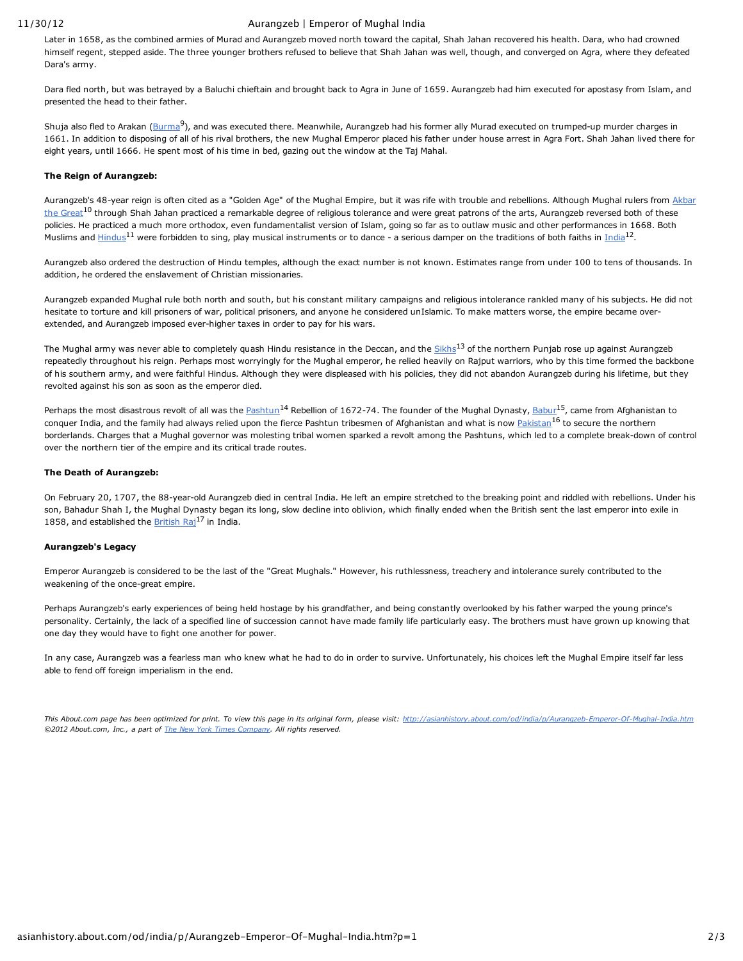#### 11/30/12 Aurangzeb | Emperor of Mughal India

Later in 1658, as the combined armies of Murad and Aurangzeb moved north toward the capital, Shah Jahan recovered his health. Dara, who had crowned himself regent, stepped aside. The three younger brothers refused to believe that Shah Jahan was well, though, and converged on Agra, where they defeated Dara's army.

Dara fled north, but was betrayed by a Baluchi chieftain and brought back to Agra in June of 1659. Aurangzeb had him executed for apostasy from Islam, and presented the head to their father.

Shuja also fled to Arakan [\(Burma](http://asianhistory.about.com/od/burmamyanmar/p/ProfileBurma.htm)<sup>9</sup>), and was executed there. Meanwhile, Aurangzeb had his former ally Murad executed on trumped-up murder charges in 1661. In addition to disposing of all of his rival brothers, the new Mughal Emperor placed his father under house arrest in Agra Fort. Shah Jahan lived there for eight years, until 1666. He spent most of his time in bed, gazing out the window at the Taj Mahal.

#### **The Reign of Aurangzeb:**

[Aurangzeb's](http://asianhistory.about.com/od/india/p/akbarthegreatbio.htm) 48-year reign is often cited as a "Golden Age" of the Mughal Empire, but it was rife with trouble and rebellions. Although Mughal rulers from Akbar the Great<sup>10</sup> through Shah Jahan practiced a remarkable degree of religious tolerance and were great patrons of the arts, Aurangzeb reversed both of these policies. He practiced a much more orthodox, even fundamentalist version of Islam, going so far as to outlaw music and other performances in 1668. Both Muslims and [Hindus](http://hinduism.about.com/)<sup>11</sup> were forbidden to sing, play musical instruments or to dance - a serious damper on the traditions of both faiths in [India](http://asianhistory.about.com/od/india/p/indiaprof.htm)<sup>12</sup>.

Aurangzeb also ordered the destruction of Hindu temples, although the exact number is not known. Estimates range from under 100 to tens of thousands. In addition, he ordered the enslavement of Christian missionaries.

Aurangzeb expanded Mughal rule both north and south, but his constant military campaigns and religious intolerance rankled many of his subjects. He did not hesitate to torture and kill prisoners of war, political prisoners, and anyone he considered unIslamic. To make matters worse, the empire became overextended, and Aurangzeb imposed ever-higher taxes in order to pay for his wars.

The Mughal army was never able to completely quash Hindu resistance in the Deccan, and the [Sikhs](http://sikhism.about.com/od/sikhism101/tp/Sikhism_for_Beginners.htm)<sup>13</sup> of the northern Punjab rose up against Aurangzeb repeatedly throughout his reign. Perhaps most worryingly for the Mughal emperor, he relied heavily on Rajput warriors, who by this time formed the backbone of his southern army, and were faithful Hindus. Although they were displeased with his policies, they did not abandon Aurangzeb during his lifetime, but they revolted against his son as soon as the emperor died.

Perhaps the most disastrous revolt of all was the [Pashtun](http://asianhistory.about.com/od/glossaryps/g/Who-Are-The-Pashtun.htm)<sup>14</sup> Rebellion of 1672-74. The founder of the Mughal Dynasty, [Babur](http://asianhistory.about.com/od/india/p/Babur-Founder-of-the-Mughal-Empire.htm)<sup>15</sup>, came from Afghanistan to conquer India, and the family had always relied upon the fierce Pashtun tribesmen of Afghanistan and what is now <u>[Pakistan](http://asianhistory.about.com/od/pakistan/p/PakistanProf.htm)</u><sup>16</sup> to secure the northern borderlands. Charges that a Mughal governor was molesting tribal women sparked a revolt among the Pashtuns, which led to a complete break-down of control over the northern tier of the empire and its critical trade routes.

### **The Death of Aurangzeb:**

On February 20, 1707, the 88-year-old Aurangzeb died in central India. He left an empire stretched to the breaking point and riddled with rebellions. Under his son, Bahadur Shah I, the Mughal Dynasty began its long, slow decline into oblivion, which finally ended when the British sent the last emperor into exile in 1858, and established the [British](http://asianhistory.about.com/od/colonialisminasia/p/profbritraj.htm) Rai<sup>17</sup> in India.

#### **Aurangzeb's Legacy**

Emperor Aurangzeb is considered to be the last of the "Great Mughals." However, his ruthlessness, treachery and intolerance surely contributed to the weakening of the once-great empire.

Perhaps Aurangzeb's early experiences of being held hostage by his grandfather, and being constantly overlooked by his father warped the young prince's personality. Certainly, the lack of a specified line of succession cannot have made family life particularly easy. The brothers must have grown up knowing that one day they would have to fight one another for power.

In any case, Aurangzeb was a fearless man who knew what he had to do in order to survive. Unfortunately, his choices left the Mughal Empire itself far less able to fend off foreign imperialism in the end.

This About.com page has been optimized for print. To view this page in its original form, please visit: http://asianhistory.about.com/od/india/p/Aurangzeb-Emperor-Of-Mughal-India.htm *©2012 About.com, Inc., a part of The New York Times [Company.](http://www.nytco.com/) All rights reserved.*